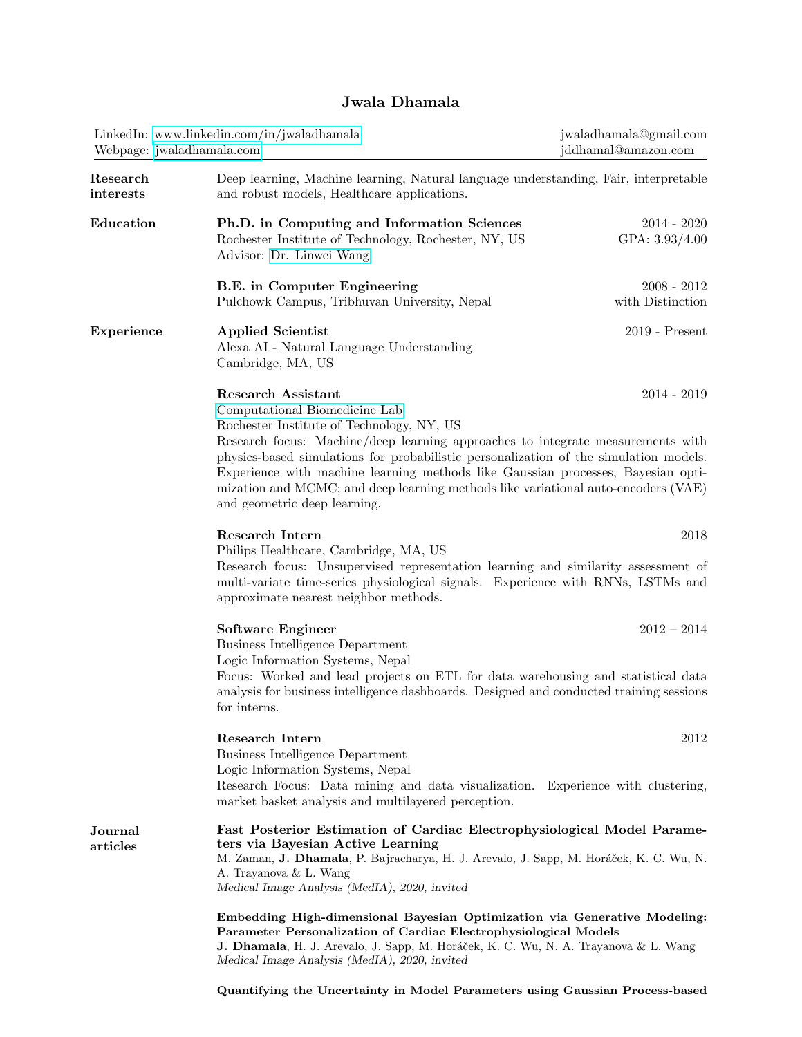## Jwala Dhamala

| LinkedIn: www.linkedin.com/in/jwaladhamala<br>Webpage: jwaladhamala.com |                                                                                                                                                                                                                                                                                                                                                                                                                                                                                                               | jwaladhamala@gmail.com<br>jddhamal@amazon.com |  |
|-------------------------------------------------------------------------|---------------------------------------------------------------------------------------------------------------------------------------------------------------------------------------------------------------------------------------------------------------------------------------------------------------------------------------------------------------------------------------------------------------------------------------------------------------------------------------------------------------|-----------------------------------------------|--|
| Research<br>interests                                                   | Deep learning, Machine learning, Natural language understanding, Fair, interpretable<br>and robust models, Healthcare applications.                                                                                                                                                                                                                                                                                                                                                                           |                                               |  |
| Education                                                               | Ph.D. in Computing and Information Sciences<br>Rochester Institute of Technology, Rochester, NY, US<br>Advisor: Dr. Linwei Wang                                                                                                                                                                                                                                                                                                                                                                               | $2014 - 2020$<br>GPA: $3.93/4.00$             |  |
|                                                                         | <b>B.E.</b> in Computer Engineering<br>Pulchowk Campus, Tribhuvan University, Nepal                                                                                                                                                                                                                                                                                                                                                                                                                           | $2008 - 2012$<br>with Distinction             |  |
| <b>Experience</b>                                                       | <b>Applied Scientist</b><br>Alexa AI - Natural Language Understanding<br>Cambridge, MA, US                                                                                                                                                                                                                                                                                                                                                                                                                    | $2019$ - Present                              |  |
|                                                                         | <b>Research Assistant</b><br>$2014 - 2019$<br>Computational Biomedicine Lab<br>Rochester Institute of Technology, NY, US<br>Research focus: Machine/deep learning approaches to integrate measurements with<br>physics-based simulations for probabilistic personalization of the simulation models.<br>Experience with machine learning methods like Gaussian processes, Bayesian opti-<br>mization and MCMC; and deep learning methods like variational auto-encoders (VAE)<br>and geometric deep learning. |                                               |  |
|                                                                         | Research Intern<br>Philips Healthcare, Cambridge, MA, US<br>Research focus: Unsupervised representation learning and similarity assessment of<br>multi-variate time-series physiological signals. Experience with RNNs, LSTMs and<br>approximate nearest neighbor methods.                                                                                                                                                                                                                                    | 2018                                          |  |
|                                                                         | <b>Software Engineer</b><br><b>Business Intelligence Department</b><br>Logic Information Systems, Nepal<br>Focus: Worked and lead projects on ETL for data warehousing and statistical data<br>analysis for business intelligence dashboards. Designed and conducted training sessions<br>for interns.                                                                                                                                                                                                        | $2012 - 2014$                                 |  |
|                                                                         | Research Intern<br><b>Business Intelligence Department</b><br>Logic Information Systems, Nepal<br>Research Focus: Data mining and data visualization. Experience with clustering,<br>market basket analysis and multilayered perception.                                                                                                                                                                                                                                                                      | 2012                                          |  |
| Journal<br>articles                                                     | Fast Posterior Estimation of Cardiac Electrophysiological Model Parame-<br>ters via Bayesian Active Learning<br>M. Zaman, J. Dhamala, P. Bajracharya, H. J. Arevalo, J. Sapp, M. Horáček, K. C. Wu, N.<br>A. Trayanova & L. Wang<br>Medical Image Analysis (MedIA), 2020, invited                                                                                                                                                                                                                             |                                               |  |
|                                                                         | Embedding High-dimensional Bayesian Optimization via Generative Modeling:<br>Parameter Personalization of Cardiac Electrophysiological Models<br>J. Dhamala, H. J. Arevalo, J. Sapp, M. Horáček, K. C. Wu, N. A. Trayanova & L. Wang<br>Medical Image Analysis (MedIA), 2020, invited                                                                                                                                                                                                                         |                                               |  |
|                                                                         |                                                                                                                                                                                                                                                                                                                                                                                                                                                                                                               |                                               |  |

Quantifying the Uncertainty in Model Parameters using Gaussian Process-based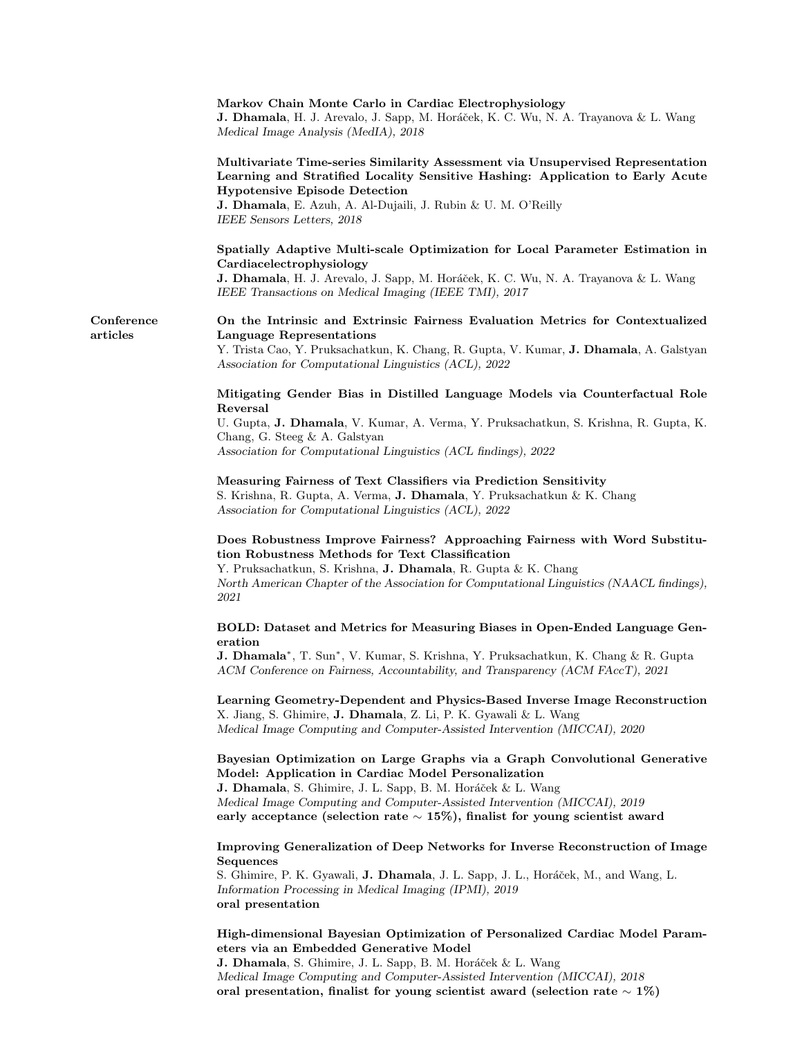|                        | Markov Chain Monte Carlo in Cardiac Electrophysiology<br>J. Dhamala, H. J. Arevalo, J. Sapp, M. Horáček, K. C. Wu, N. A. Trayanova & L. Wang<br>Medical Image Analysis (MedIA), 2018                                                                                                                                                                                |
|------------------------|---------------------------------------------------------------------------------------------------------------------------------------------------------------------------------------------------------------------------------------------------------------------------------------------------------------------------------------------------------------------|
|                        | Multivariate Time-series Similarity Assessment via Unsupervised Representation<br>Learning and Stratified Locality Sensitive Hashing: Application to Early Acute<br><b>Hypotensive Episode Detection</b><br><b>J. Dhamala</b> , E. Azuh, A. Al-Dujaili, J. Rubin & U. M. O'Reilly<br>IEEE Sensors Letters, 2018                                                     |
|                        | Spatially Adaptive Multi-scale Optimization for Local Parameter Estimation in<br>Cardiacelectrophysiology<br>J. Dhamala, H. J. Arevalo, J. Sapp, M. Horáček, K. C. Wu, N. A. Trayanova & L. Wang<br>IEEE Transactions on Medical Imaging (IEEE TMI), 2017                                                                                                           |
| Conference<br>articles | On the Intrinsic and Extrinsic Fairness Evaluation Metrics for Contextualized<br>Language Representations<br>Y. Trista Cao, Y. Pruksachatkun, K. Chang, R. Gupta, V. Kumar, J. Dhamala, A. Galstyan<br>Association for Computational Linguistics (ACL), 2022                                                                                                        |
|                        | Mitigating Gender Bias in Distilled Language Models via Counterfactual Role<br>Reversal<br>U. Gupta, J. Dhamala, V. Kumar, A. Verma, Y. Pruksachatkun, S. Krishna, R. Gupta, K.<br>Chang, G. Steeg & A. Galstyan<br>Association for Computational Linguistics (ACL findings), 2022                                                                                  |
|                        | Measuring Fairness of Text Classifiers via Prediction Sensitivity<br>S. Krishna, R. Gupta, A. Verma, J. Dhamala, Y. Pruksachatkun & K. Chang<br>Association for Computational Linguistics (ACL), 2022                                                                                                                                                               |
|                        | Does Robustness Improve Fairness? Approaching Fairness with Word Substitu-<br>tion Robustness Methods for Text Classification<br>Y. Pruksachatkun, S. Krishna, <b>J. Dhamala</b> , R. Gupta & K. Chang<br>North American Chapter of the Association for Computational Linguistics (NAACL findings),<br>2021                                                         |
|                        | BOLD: Dataset and Metrics for Measuring Biases in Open-Ended Language Gen-<br>eration<br>J. Dhamala*, T. Sun*, V. Kumar, S. Krishna, Y. Pruksachatkun, K. Chang & R. Gupta<br>ACM Conference on Fairness, Accountability, and Transparency (ACM FAccT), 2021                                                                                                        |
|                        | Learning Geometry-Dependent and Physics-Based Inverse Image Reconstruction<br>X. Jiang, S. Ghimire, <b>J. Dhamala</b> , Z. Li, P. K. Gyawali & L. Wang<br>Medical Image Computing and Computer-Assisted Intervention (MICCAI), 2020                                                                                                                                 |
|                        | Bayesian Optimization on Large Graphs via a Graph Convolutional Generative<br>Model: Application in Cardiac Model Personalization<br>J. Dhamala, S. Ghimire, J. L. Sapp, B. M. Horáček & L. Wang<br>Medical Image Computing and Computer-Assisted Intervention (MICCAI), 2019<br>early acceptance (selection rate $\sim 15\%$ ), finalist for young scientist award |
|                        | Improving Generalization of Deep Networks for Inverse Reconstruction of Image<br>Sequences<br>S. Ghimire, P. K. Gyawali, <b>J. Dhamala</b> , J. L. Sapp, J. L., Horáček, M., and Wang, L.<br>Information Processing in Medical Imaging (IPMI), 2019<br>oral presentation                                                                                            |
|                        | High-dimensional Bayesian Optimization of Personalized Cardiac Model Param-<br>eters via an Embedded Generative Model<br>J. Dhamala, S. Ghimire, J. L. Sapp, B. M. Horáček & L. Wang<br>Medical Image Computing and Computer-Assisted Intervention (MICCAI), 2018<br>oral presentation, finalist for young scientist award (selection rate $\sim 1\%$ )             |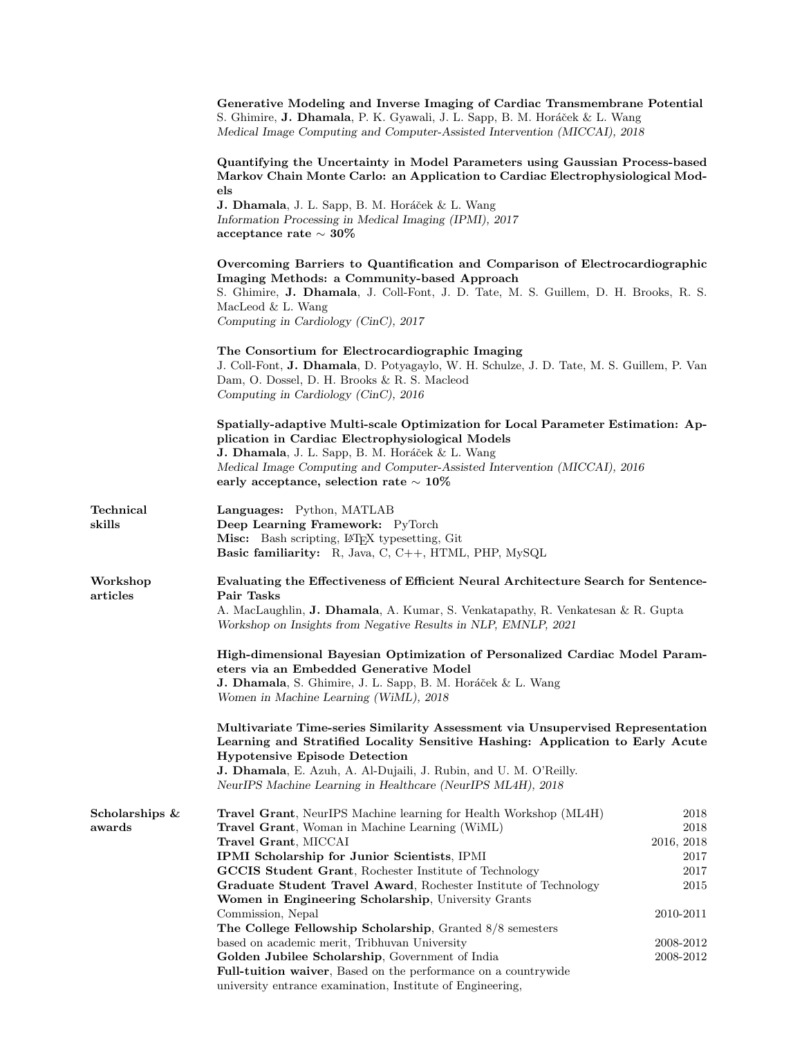|                          | Generative Modeling and Inverse Imaging of Cardiac Transmembrane Potential<br>S. Ghimire, J. Dhamala, P. K. Gyawali, J. L. Sapp, B. M. Horáček & L. Wang<br>Medical Image Computing and Computer-Assisted Intervention (MICCAI), 2018                                                                                     |                            |
|--------------------------|---------------------------------------------------------------------------------------------------------------------------------------------------------------------------------------------------------------------------------------------------------------------------------------------------------------------------|----------------------------|
|                          | Quantifying the Uncertainty in Model Parameters using Gaussian Process-based<br>Markov Chain Monte Carlo: an Application to Cardiac Electrophysiological Mod-<br>$_{\rm els}$<br>J. Dhamala, J. L. Sapp, B. M. Horáček & L. Wang<br>Information Processing in Medical Imaging (IPMI), 2017<br>acceptance rate $\sim 30\%$ |                            |
|                          | Overcoming Barriers to Quantification and Comparison of Electrocardiographic<br>Imaging Methods: a Community-based Approach<br>S. Ghimire, J. Dhamala, J. Coll-Font, J. D. Tate, M. S. Guillem, D. H. Brooks, R. S.<br>MacLeod $&L.$ Wang<br>Computing in Cardiology (CinC), 2017                                         |                            |
|                          | The Consortium for Electrocardiographic Imaging<br>J. Coll-Font, J. Dhamala, D. Potyagaylo, W. H. Schulze, J. D. Tate, M. S. Guillem, P. Van<br>Dam, O. Dossel, D. H. Brooks & R. S. Macleod<br>Computing in Cardiology (CinC), 2016                                                                                      |                            |
|                          | Spatially-adaptive Multi-scale Optimization for Local Parameter Estimation: Ap-<br>plication in Cardiac Electrophysiological Models<br>J. Dhamala, J. L. Sapp, B. M. Horáček & L. Wang<br>Medical Image Computing and Computer-Assisted Intervention (MICCAI), 2016<br>early acceptance, selection rate $\sim 10\%$       |                            |
| Technical<br>skills      | Languages: Python, MATLAB<br>Deep Learning Framework: PyTorch<br>Misc: Bash scripting, L <sup>AT</sup> FX typesetting, Git<br><b>Basic familiarity:</b> R, Java, C, C++, HTML, PHP, MySQL                                                                                                                                 |                            |
| Workshop<br>articles     | Evaluating the Effectiveness of Efficient Neural Architecture Search for Sentence-<br>Pair Tasks<br>A. MacLaughlin, J. Dhamala, A. Kumar, S. Venkatapathy, R. Venkatesan & R. Gupta<br>Workshop on Insights from Negative Results in NLP, EMNLP, 2021                                                                     |                            |
|                          | High-dimensional Bayesian Optimization of Personalized Cardiac Model Param-<br>eters via an Embedded Generative Model<br>J. Dhamala, S. Ghimire, J. L. Sapp, B. M. Horáček & L. Wang                                                                                                                                      |                            |
|                          | Women in Machine Learning (WiML), 2018                                                                                                                                                                                                                                                                                    |                            |
|                          | Multivariate Time-series Similarity Assessment via Unsupervised Representation<br>Learning and Stratified Locality Sensitive Hashing: Application to Early Acute<br><b>Hypotensive Episode Detection</b>                                                                                                                  |                            |
|                          | J. Dhamala, E. Azuh, A. Al-Dujaili, J. Rubin, and U. M. O'Reilly.<br>NeurIPS Machine Learning in Healthcare (NeurIPS ML4H), 2018                                                                                                                                                                                          |                            |
| Scholarships &<br>awards | <b>Travel Grant</b> , NeurlPS Machine learning for Health Workshop (ML4H)<br><b>Travel Grant</b> , Woman in Machine Learning (WiML)<br>Travel Grant, MICCAI                                                                                                                                                               | 2018<br>2018<br>2016, 2018 |
|                          | <b>IPMI Scholarship for Junior Scientists, IPMI</b>                                                                                                                                                                                                                                                                       | 2017                       |
|                          | GCCIS Student Grant, Rochester Institute of Technology                                                                                                                                                                                                                                                                    | 2017                       |
|                          | Graduate Student Travel Award, Rochester Institute of Technology<br>Women in Engineering Scholarship, University Grants                                                                                                                                                                                                   | 2015                       |
|                          | Commission, Nepal                                                                                                                                                                                                                                                                                                         | 2010-2011                  |
|                          | The College Fellowship Scholarship, Granted 8/8 semesters                                                                                                                                                                                                                                                                 |                            |
|                          | based on academic merit, Tribhuvan University<br>Golden Jubilee Scholarship, Government of India                                                                                                                                                                                                                          | 2008-2012<br>2008-2012     |
|                          | Full-tuition waiver, Based on the performance on a countrywide                                                                                                                                                                                                                                                            |                            |
|                          | university entrance examination, Institute of Engineering,                                                                                                                                                                                                                                                                |                            |